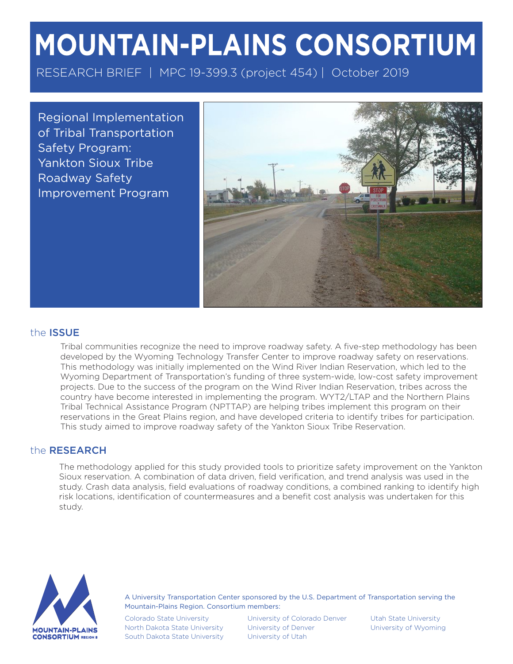# **MOUNTAIN-PLAINS CONSORTIUM**

RESEARCH BRIEF | MPC 19-399.3 (project 454) | October 2019

Regional Implementation of Tribal Transportation Safety Program: Yankton Sioux Tribe Roadway Safety Improvement Program



#### the ISSUE

Tribal communities recognize the need to improve roadway safety. A five-step methodology has been developed by the Wyoming Technology Transfer Center to improve roadway safety on reservations. This methodology was initially implemented on the Wind River Indian Reservation, which led to the Wyoming Department of Transportation's funding of three system-wide, low-cost safety improvement projects. Due to the success of the program on the Wind River Indian Reservation, tribes across the country have become interested in implementing the program. WYT2/LTAP and the Northern Plains Tribal Technical Assistance Program (NPTTAP) are helping tribes implement this program on their reservations in the Great Plains region, and have developed criteria to identify tribes for participation. This study aimed to improve roadway safety of the Yankton Sioux Tribe Reservation.

#### the RESEARCH

The methodology applied for this study provided tools to prioritize safety improvement on the Yankton Sioux reservation. A combination of data driven, field verification, and trend analysis was used in the study. Crash data analysis, field evaluations of roadway conditions, a combined ranking to identify high risk locations, identification of countermeasures and a benefit cost analysis was undertaken for this study.



A University Transportation Center sponsored by the U.S. Department of Transportation serving the Mountain-Plains Region. Consortium members:

Colorado State University North Dakota State University South Dakota State University

University of Colorado Denver University of Denver University of Utah

Utah State University University of Wyoming